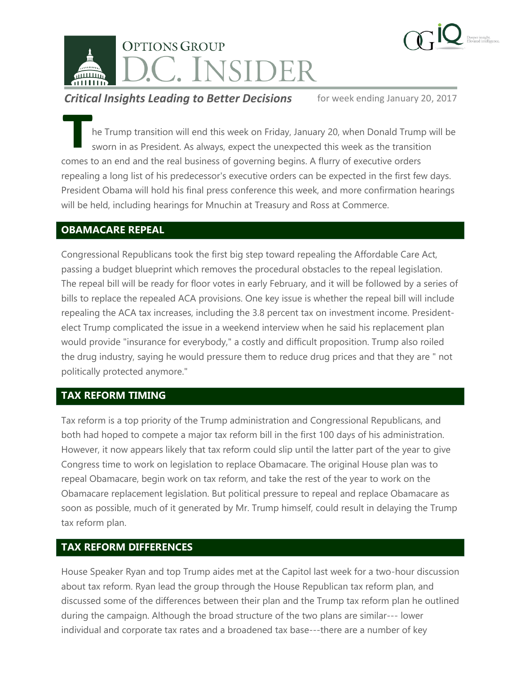

**Critical Insights Leading to Better Decisions** for week ending January 20, 2017

he Trump transition will end this week on Friday, January 20, when Donald Trump will be sworn in as President. As always, expect the unexpected this week as the transition **Example 18 From parameters to an end and the real business of governing begins. A flurry of executive orders comes to an end and the real business of governing begins. A flurry of executive orders** repealing a long list of his predecessor's executive orders can be expected in the first few days. President Obama will hold his final press conference this week, and more confirmation hearings will be held, including hearings for Mnuchin at Treasury and Ross at Commerce.

# **OBAMACARE REPEAL**

Congressional Republicans took the first big step toward repealing the Affordable Care Act, passing a budget blueprint which removes the procedural obstacles to the repeal legislation. The repeal bill will be ready for floor votes in early February, and it will be followed by a series of bills to replace the repealed ACA provisions. One key issue is whether the repeal bill will include repealing the ACA tax increases, including the 3.8 percent tax on investment income. Presidentelect Trump complicated the issue in a weekend interview when he said his replacement plan would provide "insurance for everybody," a costly and difficult proposition. Trump also roiled the drug industry, saying he would pressure them to reduce drug prices and that they are " not politically protected anymore."

# **TAX REFORM TIMING**

Tax reform is a top priority of the Trump administration and Congressional Republicans, and both had hoped to compete a major tax reform bill in the first 100 days of his administration. However, it now appears likely that tax reform could slip until the latter part of the year to give Congress time to work on legislation to replace Obamacare. The original House plan was to repeal Obamacare, begin work on tax reform, and take the rest of the year to work on the Obamacare replacement legislation. But political pressure to repeal and replace Obamacare as soon as possible, much of it generated by Mr. Trump himself, could result in delaying the Trump tax reform plan.

# **TAX REFORM DIFFERENCES**

House Speaker Ryan and top Trump aides met at the Capitol last week for a two-hour discussion about tax reform. Ryan lead the group through the House Republican tax reform plan, and discussed some of the differences between their plan and the Trump tax reform plan he outlined during the campaign. Although the broad structure of the two plans are similar--- lower individual and corporate tax rates and a broadened tax base---there are a number of key